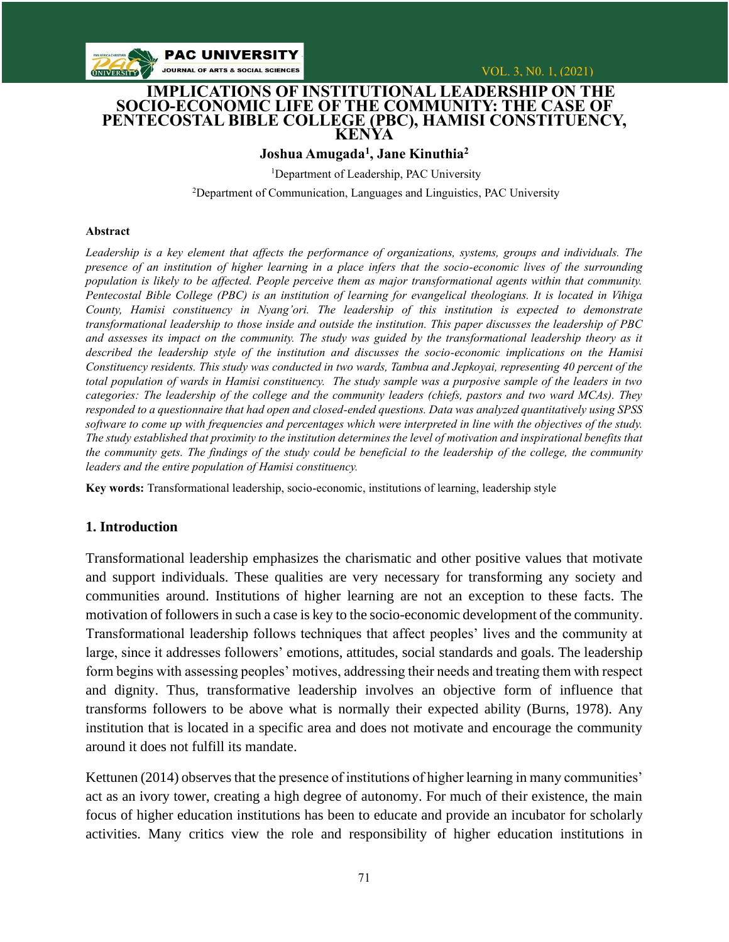

#### **IMPLICATIONS OF INSTITUTIONAL LEADERSHIP ON THE SOCIO-ECONOMIC LIFE OF THE COMMUNITY: THE CASE OF PENTECOSTAL BIBLE COLLEGE (PBC), HAMISI CONSTITUENCY, KENYA**

### **Joshua Amugada<sup>1</sup> , Jane Kinuthia<sup>2</sup>**

<sup>1</sup>Department of Leadership, PAC University

<sup>2</sup>Department of Communication, Languages and Linguistics, PAC University

#### **Abstract**

*Leadership is a key element that affects the performance of organizations, systems, groups and individuals. The presence of an institution of higher learning in a place infers that the socio-economic lives of the surrounding population is likely to be affected. People perceive them as major transformational agents within that community. Pentecostal Bible College (PBC) is an institution of learning for evangelical theologians. It is located in Vihiga County, Hamisi constituency in Nyang'ori. The leadership of this institution is expected to demonstrate transformational leadership to those inside and outside the institution. This paper discusses the leadership of PBC and assesses its impact on the community. The study was guided by the transformational leadership theory as it described the leadership style of the institution and discusses the socio-economic implications on the Hamisi Constituency residents. This study was conducted in two wards, Tambua and Jepkoyai, representing 40 percent of the total population of wards in Hamisi constituency. The study sample was a purposive sample of the leaders in two categories: The leadership of the college and the community leaders (chiefs, pastors and two ward MCAs). They responded to a questionnaire that had open and closed-ended questions. Data was analyzed quantitatively using SPSS software to come up with frequencies and percentages which were interpreted in line with the objectives of the study. The study established that proximity to the institution determines the level of motivation and inspirational benefits that the community gets. The findings of the study could be beneficial to the leadership of the college, the community leaders and the entire population of Hamisi constituency.* 

**Key words:** Transformational leadership, socio-economic, institutions of learning, leadership style

#### **1. Introduction**

Transformational leadership emphasizes the charismatic and other positive values that motivate and support individuals. These qualities are very necessary for transforming any society and communities around. Institutions of higher learning are not an exception to these facts. The motivation of followers in such a case is key to the socio-economic development of the community. Transformational leadership follows techniques that affect peoples' lives and the community at large, since it addresses followers' emotions, attitudes, social standards and goals. The leadership form begins with assessing peoples' motives, addressing their needs and treating them with respect and dignity. Thus, transformative leadership involves an objective form of influence that transforms followers to be above what is normally their expected ability (Burns, 1978). Any institution that is located in a specific area and does not motivate and encourage the community around it does not fulfill its mandate.

Kettunen (2014) observes that the presence of institutions of higher learning in many communities' act as an ivory tower, creating a high degree of autonomy. For much of their existence, the main focus of higher education institutions has been to educate and provide an incubator for scholarly activities. Many critics view the role and responsibility of higher education institutions in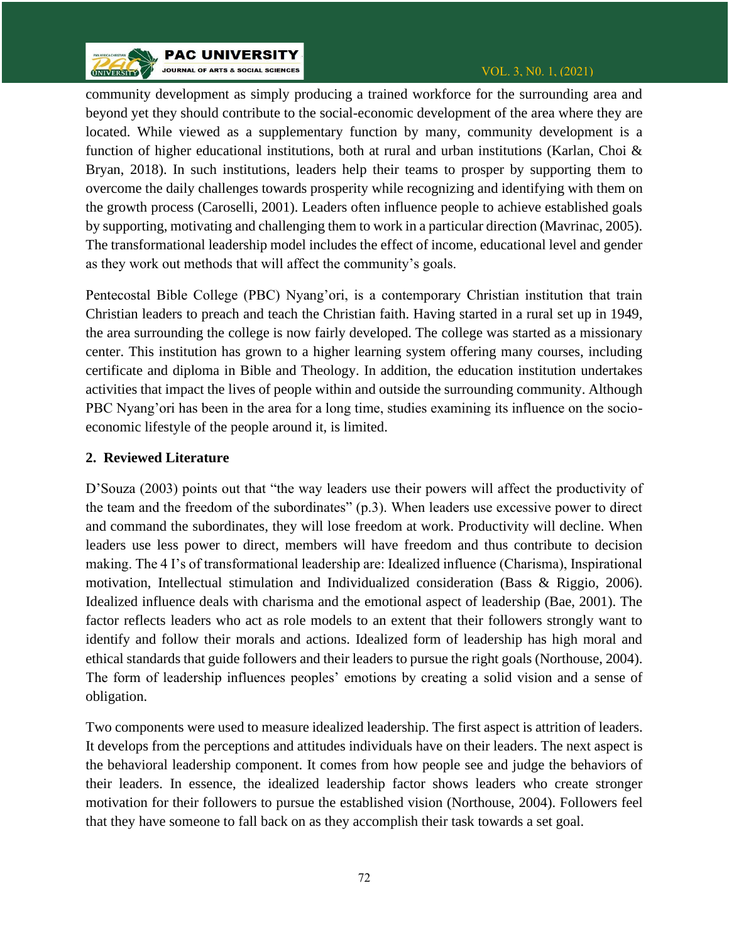

VOL. 3, N0. 1, (2021)

community development as simply producing a trained workforce for the surrounding area and beyond yet they should contribute to the social-economic development of the area where they are located. While viewed as a supplementary function by many, community development is a function of higher educational institutions, both at rural and urban institutions (Karlan, Choi & Bryan, 2018). In such institutions, leaders help their teams to prosper by supporting them to overcome the daily challenges towards prosperity while recognizing and identifying with them on the growth process (Caroselli, 2001). Leaders often influence people to achieve established goals by supporting, motivating and challenging them to work in a particular direction (Mavrinac, 2005). The transformational leadership model includes the effect of income, educational level and gender as they work out methods that will affect the community's goals.

Pentecostal Bible College (PBC) Nyang'ori, is a contemporary Christian institution that train Christian leaders to preach and teach the Christian faith. Having started in a rural set up in 1949, the area surrounding the college is now fairly developed. The college was started as a missionary center. This institution has grown to a higher learning system offering many courses, including certificate and diploma in Bible and Theology. In addition, the education institution undertakes activities that impact the lives of people within and outside the surrounding community. Although PBC Nyang'ori has been in the area for a long time, studies examining its influence on the socioeconomic lifestyle of the people around it, is limited.

### **2. Reviewed Literature**

D'Souza (2003) points out that "the way leaders use their powers will affect the productivity of the team and the freedom of the subordinates" (p.3). When leaders use excessive power to direct and command the subordinates, they will lose freedom at work. Productivity will decline. When leaders use less power to direct, members will have freedom and thus contribute to decision making. The 4 I's of transformational leadership are: Idealized influence (Charisma), Inspirational motivation, Intellectual stimulation and Individualized consideration (Bass & Riggio, 2006). Idealized influence deals with charisma and the emotional aspect of leadership (Bae, 2001). The factor reflects leaders who act as role models to an extent that their followers strongly want to identify and follow their morals and actions. Idealized form of leadership has high moral and ethical standards that guide followers and their leaders to pursue the right goals (Northouse, 2004). The form of leadership influences peoples' emotions by creating a solid vision and a sense of obligation.

Two components were used to measure idealized leadership. The first aspect is attrition of leaders. It develops from the perceptions and attitudes individuals have on their leaders. The next aspect is the behavioral leadership component. It comes from how people see and judge the behaviors of their leaders. In essence, the idealized leadership factor shows leaders who create stronger motivation for their followers to pursue the established vision (Northouse, 2004). Followers feel that they have someone to fall back on as they accomplish their task towards a set goal.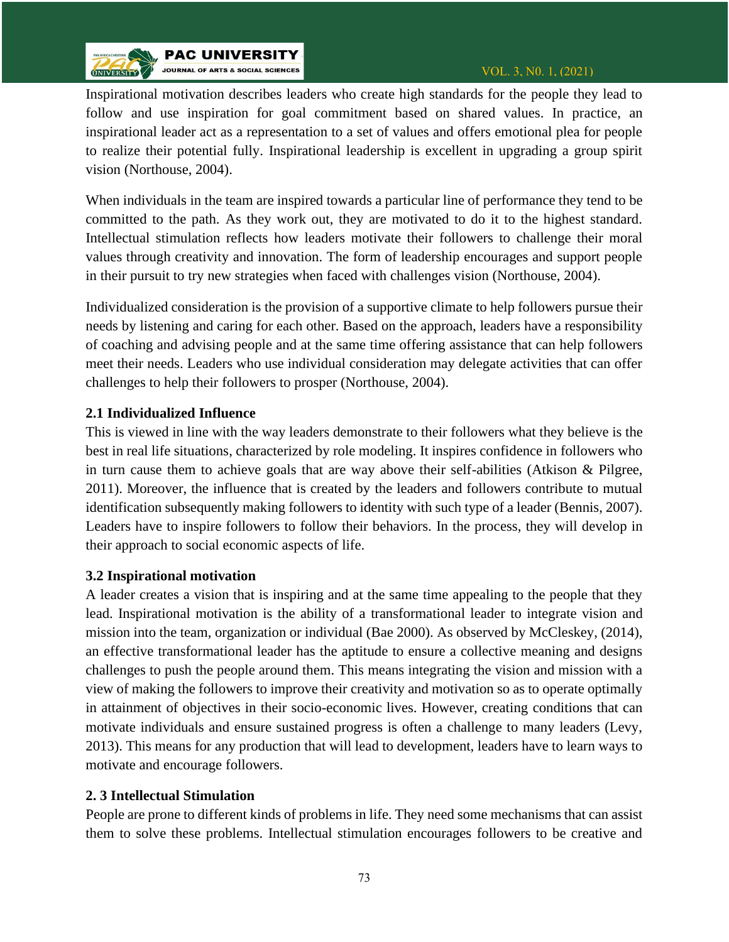

**PAC UNIVERSITY** 

**JOURNAL OF ARTS & SOCIAL SCIENCES** 

Inspirational motivation describes leaders who create high standards for the people they lead to follow and use inspiration for goal commitment based on shared values. In practice, an inspirational leader act as a representation to a set of values and offers emotional plea for people to realize their potential fully. Inspirational leadership is excellent in upgrading a group spirit vision (Northouse, 2004).

When individuals in the team are inspired towards a particular line of performance they tend to be committed to the path. As they work out, they are motivated to do it to the highest standard. Intellectual stimulation reflects how leaders motivate their followers to challenge their moral values through creativity and innovation. The form of leadership encourages and support people in their pursuit to try new strategies when faced with challenges vision (Northouse, 2004).

Individualized consideration is the provision of a supportive climate to help followers pursue their needs by listening and caring for each other. Based on the approach, leaders have a responsibility of coaching and advising people and at the same time offering assistance that can help followers meet their needs. Leaders who use individual consideration may delegate activities that can offer challenges to help their followers to prosper (Northouse, 2004).

## **2.1 Individualized Influence**

This is viewed in line with the way leaders demonstrate to their followers what they believe is the best in real life situations, characterized by role modeling. It inspires confidence in followers who in turn cause them to achieve goals that are way above their self-abilities (Atkison & Pilgree, 2011). Moreover, the influence that is created by the leaders and followers contribute to mutual identification subsequently making followers to identity with such type of a leader (Bennis, 2007). Leaders have to inspire followers to follow their behaviors. In the process, they will develop in their approach to social economic aspects of life.

### **3.2 Inspirational motivation**

A leader creates a vision that is inspiring and at the same time appealing to the people that they lead. Inspirational motivation is the ability of a transformational leader to integrate vision and mission into the team, organization or individual (Bae 2000). As observed by McCleskey, (2014), an effective transformational leader has the aptitude to ensure a collective meaning and designs challenges to push the people around them. This means integrating the vision and mission with a view of making the followers to improve their creativity and motivation so as to operate optimally in attainment of objectives in their socio-economic lives. However, creating conditions that can motivate individuals and ensure sustained progress is often a challenge to many leaders (Levy, 2013). This means for any production that will lead to development, leaders have to learn ways to motivate and encourage followers.

### **2. 3 Intellectual Stimulation**

People are prone to different kinds of problems in life. They need some mechanisms that can assist them to solve these problems. Intellectual stimulation encourages followers to be creative and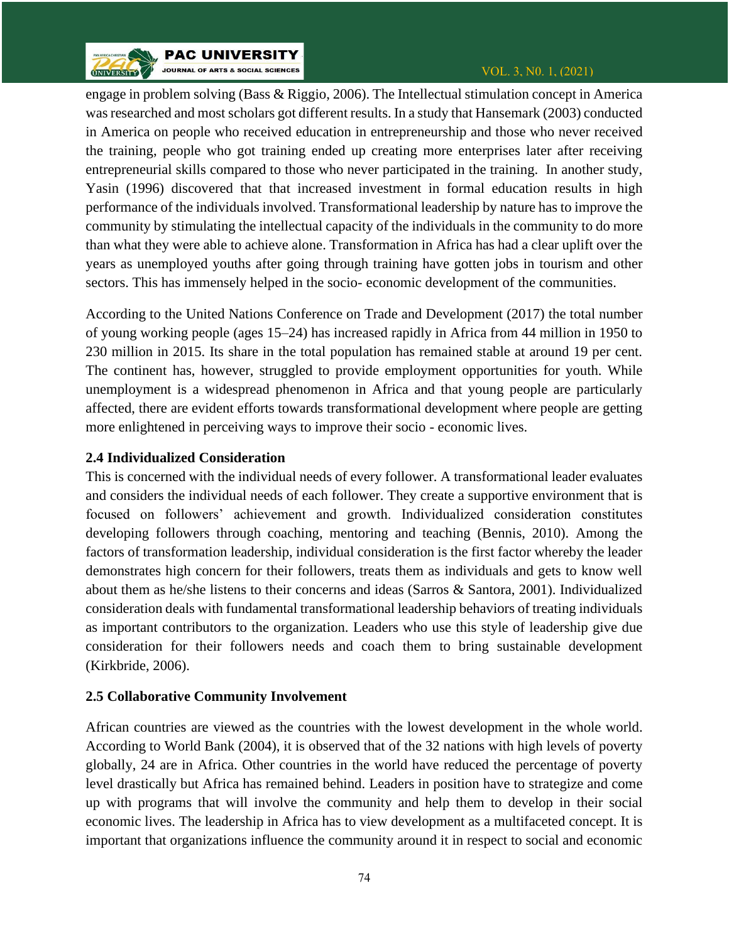

VOL. 3, N0. 1, (2021)

engage in problem solving (Bass & Riggio, 2006). The Intellectual stimulation concept in America was researched and most scholars got different results. In a study that Hansemark (2003) conducted in America on people who received education in entrepreneurship and those who never received the training, people who got training ended up creating more enterprises later after receiving entrepreneurial skills compared to those who never participated in the training. In another study, Yasin (1996) discovered that that increased investment in formal education results in high performance of the individuals involved. Transformational leadership by nature has to improve the community by stimulating the intellectual capacity of the individuals in the community to do more than what they were able to achieve alone. Transformation in Africa has had a clear uplift over the years as unemployed youths after going through training have gotten jobs in tourism and other sectors. This has immensely helped in the socio- economic development of the communities.

According to the United Nations Conference on Trade and Development (2017) the total number of young working people (ages 15–24) has increased rapidly in Africa from 44 million in 1950 to 230 million in 2015. Its share in the total population has remained stable at around 19 per cent. The continent has, however, struggled to provide employment opportunities for youth. While unemployment is a widespread phenomenon in Africa and that young people are particularly affected, there are evident efforts towards transformational development where people are getting more enlightened in perceiving ways to improve their socio - economic lives.

### **2.4 Individualized Consideration**

This is concerned with the individual needs of every follower. A transformational leader evaluates and considers the individual needs of each follower. They create a supportive environment that is focused on followers' achievement and growth. Individualized consideration constitutes developing followers through coaching, mentoring and teaching (Bennis, 2010). Among the factors of transformation leadership, individual consideration is the first factor whereby the leader demonstrates high concern for their followers, treats them as individuals and gets to know well about them as he/she listens to their concerns and ideas (Sarros & Santora, 2001). Individualized consideration deals with fundamental transformational leadership behaviors of treating individuals as important contributors to the organization. Leaders who use this style of leadership give due consideration for their followers needs and coach them to bring sustainable development (Kirkbride, 2006).

### **2.5 Collaborative Community Involvement**

African countries are viewed as the countries with the lowest development in the whole world. According to World Bank (2004), it is observed that of the 32 nations with high levels of poverty globally, 24 are in Africa. Other countries in the world have reduced the percentage of poverty level drastically but Africa has remained behind. Leaders in position have to strategize and come up with programs that will involve the community and help them to develop in their social economic lives. The leadership in Africa has to view development as a multifaceted concept. It is important that organizations influence the community around it in respect to social and economic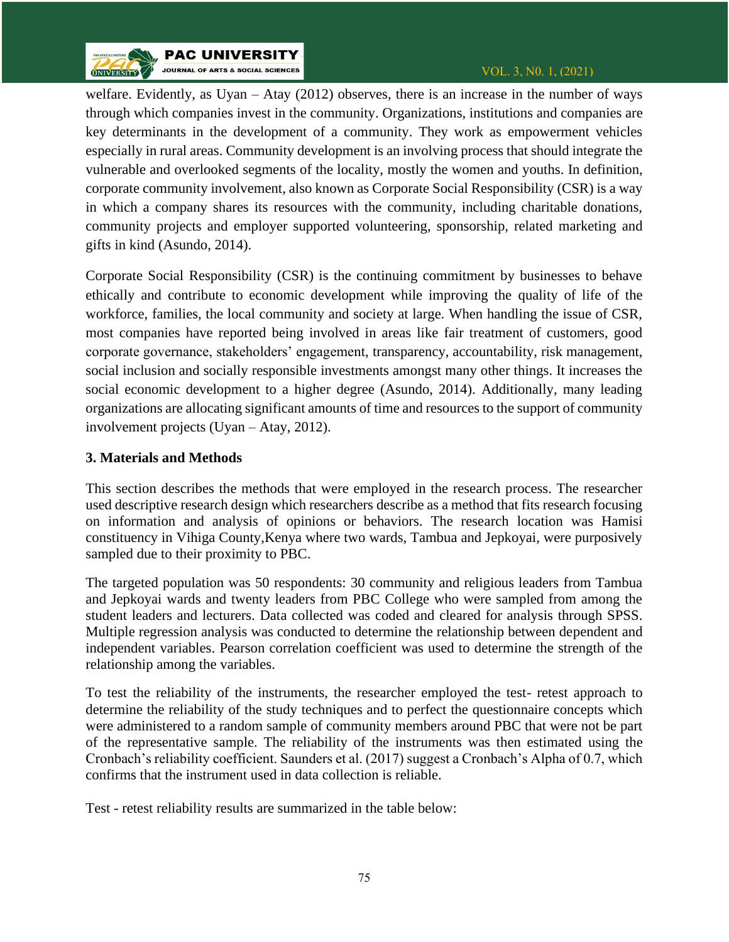

welfare. Evidently, as Uyan – Atay (2012) observes, there is an increase in the number of ways through which companies invest in the community. Organizations, institutions and companies are key determinants in the development of a community. They work as empowerment vehicles especially in rural areas. Community development is an involving process that should integrate the vulnerable and overlooked segments of the locality, mostly the women and youths. In definition, corporate community involvement, also known as Corporate Social Responsibility (CSR) is a way in which a company shares its resources with the community, including charitable donations, community projects and employer supported volunteering, sponsorship, related marketing and gifts in kind (Asundo, 2014).

Corporate Social Responsibility (CSR) is the continuing commitment by businesses to behave ethically and contribute to economic development while improving the quality of life of the workforce, families, the local community and society at large. When handling the issue of CSR, most companies have reported being involved in areas like fair treatment of customers, good corporate governance, stakeholders' engagement, transparency, accountability, risk management, social inclusion and socially responsible investments amongst many other things. It increases the social economic development to a higher degree (Asundo, 2014). Additionally, many leading organizations are allocating significant amounts of time and resources to the support of community involvement projects (Uyan – Atay, 2012).

## **3. Materials and Methods**

This section describes the methods that were employed in the research process. The researcher used descriptive research design which researchers describe as a method that fits research focusing on information and analysis of opinions or behaviors. The research location was Hamisi constituency in Vihiga County,Kenya where two wards, Tambua and Jepkoyai, were purposively sampled due to their proximity to PBC.

The targeted population was 50 respondents: 30 community and religious leaders from Tambua and Jepkoyai wards and twenty leaders from PBC College who were sampled from among the student leaders and lecturers. Data collected was coded and cleared for analysis through SPSS. Multiple regression analysis was conducted to determine the relationship between dependent and independent variables. Pearson correlation coefficient was used to determine the strength of the relationship among the variables.

To test the reliability of the instruments, the researcher employed the test- retest approach to determine the reliability of the study techniques and to perfect the questionnaire concepts which were administered to a random sample of community members around PBC that were not be part of the representative sample. The reliability of the instruments was then estimated using the Cronbach's reliability coefficient. Saunders et al. (2017) suggest a Cronbach's Alpha of 0.7, which confirms that the instrument used in data collection is reliable.

Test - retest reliability results are summarized in the table below: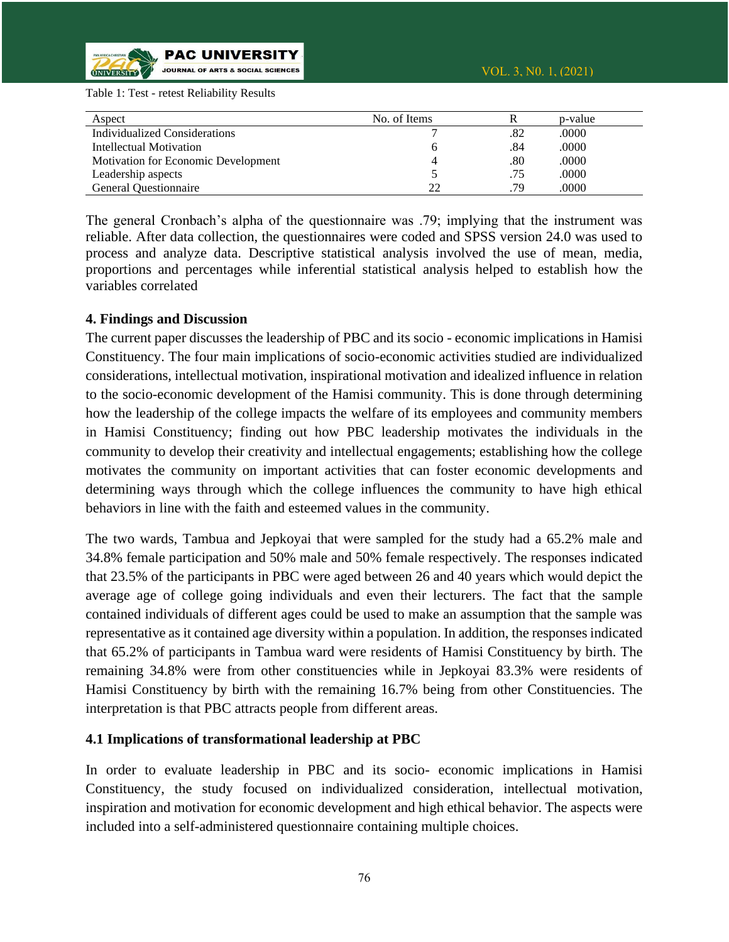

Table 1: Test - retest Reliability Results

| Aspect                              | No. of Items |     | p-value |  |
|-------------------------------------|--------------|-----|---------|--|
| Individualized Considerations       |              | .82 | .0000   |  |
| Intellectual Motivation             |              | .84 | .0000   |  |
| Motivation for Economic Development |              | .80 | .0000   |  |
| Leadership aspects                  |              | .75 | .0000   |  |
| General Questionnaire               | 22           | .79 | .0000   |  |

The general Cronbach's alpha of the questionnaire was .79; implying that the instrument was reliable. After data collection, the questionnaires were coded and SPSS version 24.0 was used to process and analyze data. Descriptive statistical analysis involved the use of mean, media, proportions and percentages while inferential statistical analysis helped to establish how the variables correlated

#### **4. Findings and Discussion**

The current paper discusses the leadership of PBC and its socio - economic implications in Hamisi Constituency. The four main implications of socio-economic activities studied are individualized considerations, intellectual motivation, inspirational motivation and idealized influence in relation to the socio-economic development of the Hamisi community. This is done through determining how the leadership of the college impacts the welfare of its employees and community members in Hamisi Constituency; finding out how PBC leadership motivates the individuals in the community to develop their creativity and intellectual engagements; establishing how the college motivates the community on important activities that can foster economic developments and determining ways through which the college influences the community to have high ethical behaviors in line with the faith and esteemed values in the community.

The two wards, Tambua and Jepkoyai that were sampled for the study had a 65.2% male and 34.8% female participation and 50% male and 50% female respectively. The responses indicated that 23.5% of the participants in PBC were aged between 26 and 40 years which would depict the average age of college going individuals and even their lecturers. The fact that the sample contained individuals of different ages could be used to make an assumption that the sample was representative as it contained age diversity within a population. In addition, the responses indicated that 65.2% of participants in Tambua ward were residents of Hamisi Constituency by birth. The remaining 34.8% were from other constituencies while in Jepkoyai 83.3% were residents of Hamisi Constituency by birth with the remaining 16.7% being from other Constituencies. The interpretation is that PBC attracts people from different areas.

#### **4.1 Implications of transformational leadership at PBC**

In order to evaluate leadership in PBC and its socio- economic implications in Hamisi Constituency, the study focused on individualized consideration, intellectual motivation, inspiration and motivation for economic development and high ethical behavior. The aspects were included into a self-administered questionnaire containing multiple choices.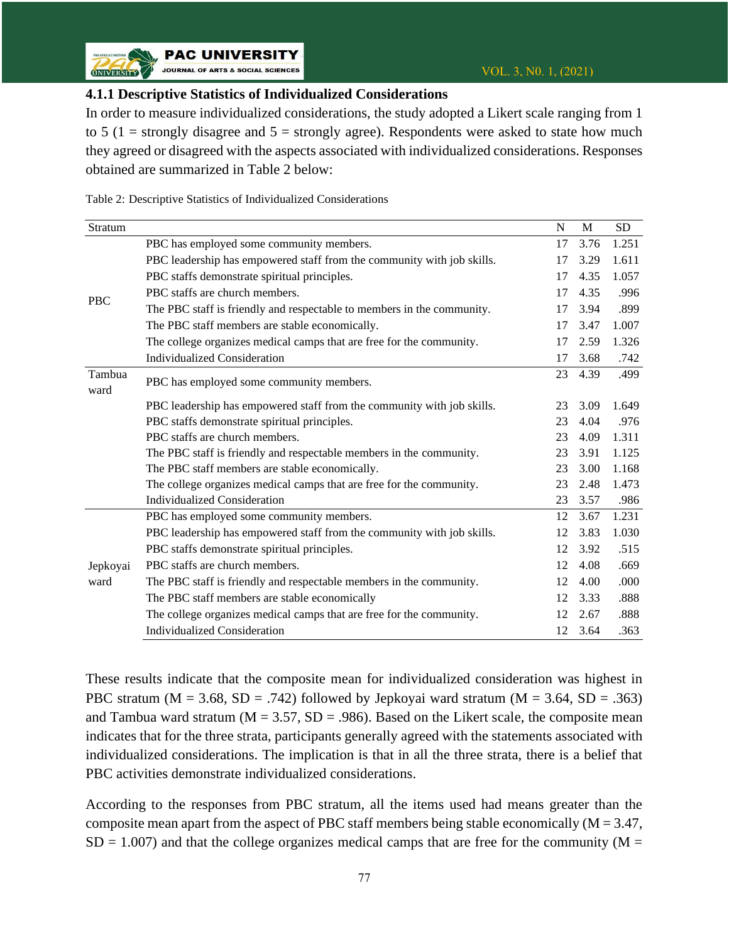#### **4.1.1 Descriptive Statistics of Individualized Considerations**

In order to measure individualized considerations, the study adopted a Likert scale ranging from 1 to 5 (1 = strongly disagree and  $5$  = strongly agree). Respondents were asked to state how much they agreed or disagreed with the aspects associated with individualized considerations. Responses obtained are summarized in Table 2 below:

Table 2: Descriptive Statistics of Individualized Considerations

| Stratum    |                                                                        | N  | M    | <b>SD</b> |
|------------|------------------------------------------------------------------------|----|------|-----------|
|            | PBC has employed some community members.                               | 17 | 3.76 | 1.251     |
|            | PBC leadership has empowered staff from the community with job skills. | 17 | 3.29 | 1.611     |
|            | PBC staffs demonstrate spiritual principles.                           | 17 | 4.35 | 1.057     |
|            | PBC staffs are church members.                                         | 17 | 4.35 | .996      |
| <b>PBC</b> | The PBC staff is friendly and respectable to members in the community. | 17 | 3.94 | .899      |
|            | The PBC staff members are stable economically.                         | 17 | 3.47 | 1.007     |
|            | The college organizes medical camps that are free for the community.   | 17 | 2.59 | 1.326     |
|            | <b>Individualized Consideration</b>                                    | 17 | 3.68 | .742      |
| Tambua     | PBC has employed some community members.                               | 23 | 4.39 | .499      |
| ward       |                                                                        |    |      |           |
|            | PBC leadership has empowered staff from the community with job skills. | 23 | 3.09 | 1.649     |
|            | PBC staffs demonstrate spiritual principles.                           | 23 | 4.04 | .976      |
|            | PBC staffs are church members.                                         | 23 | 4.09 | 1.311     |
|            | The PBC staff is friendly and respectable members in the community.    | 23 | 3.91 | 1.125     |
|            | The PBC staff members are stable economically.                         | 23 | 3.00 | 1.168     |
|            | The college organizes medical camps that are free for the community.   | 23 | 2.48 | 1.473     |
|            | <b>Individualized Consideration</b>                                    | 23 | 3.57 | .986      |
|            | PBC has employed some community members.                               | 12 | 3.67 | 1.231     |
|            | PBC leadership has empowered staff from the community with job skills. | 12 | 3.83 | 1.030     |
|            | PBC staffs demonstrate spiritual principles.                           | 12 | 3.92 | .515      |
| Jepkoyai   | PBC staffs are church members.                                         | 12 | 4.08 | .669      |
| ward       | The PBC staff is friendly and respectable members in the community.    | 12 | 4.00 | .000      |
|            | The PBC staff members are stable economically                          | 12 | 3.33 | .888      |
|            | The college organizes medical camps that are free for the community.   | 12 | 2.67 | .888      |
|            | <b>Individualized Consideration</b>                                    | 12 | 3.64 | .363      |

These results indicate that the composite mean for individualized consideration was highest in PBC stratum ( $M = 3.68$ ,  $SD = .742$ ) followed by Jepkoyai ward stratum ( $M = 3.64$ ,  $SD = .363$ ) and Tambua ward stratum ( $M = 3.57$ ,  $SD = .986$ ). Based on the Likert scale, the composite mean indicates that for the three strata, participants generally agreed with the statements associated with individualized considerations. The implication is that in all the three strata, there is a belief that PBC activities demonstrate individualized considerations.

According to the responses from PBC stratum, all the items used had means greater than the composite mean apart from the aspect of PBC staff members being stable economically  $(M = 3.47)$ ,  $SD = 1.007$ ) and that the college organizes medical camps that are free for the community (M =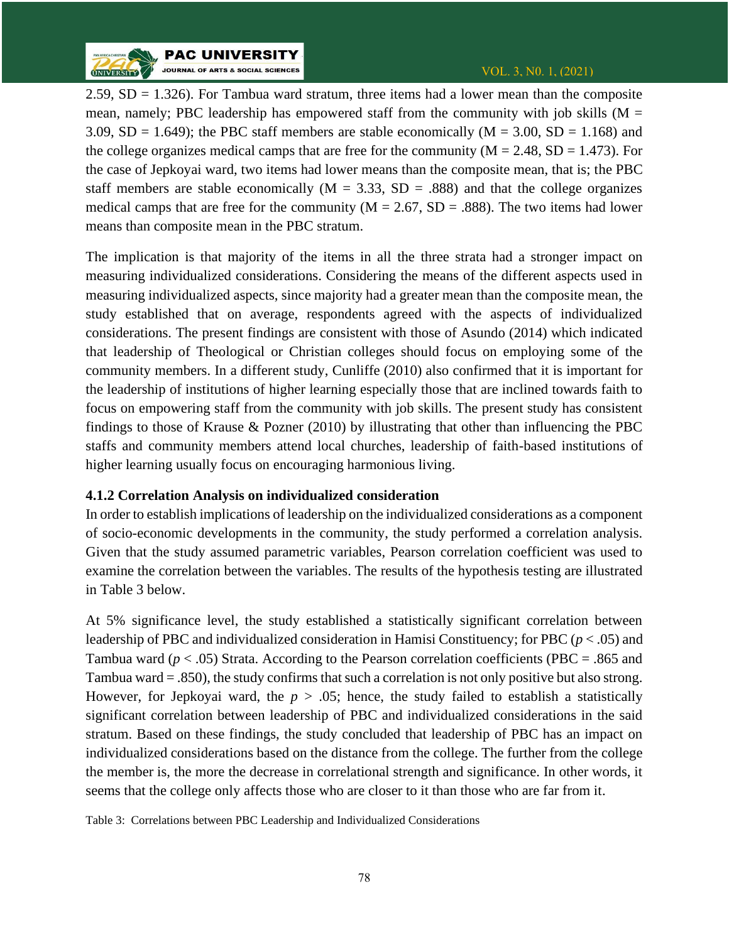

 $2.59$ ,  $SD = 1.326$ ). For Tambua ward stratum, three items had a lower mean than the composite mean, namely; PBC leadership has empowered staff from the community with job skills ( $M =$ 3.09, SD = 1.649); the PBC staff members are stable economically  $(M = 3.00, SD = 1.168)$  and the college organizes medical camps that are free for the community ( $M = 2.48$ ,  $SD = 1.473$ ). For the case of Jepkoyai ward, two items had lower means than the composite mean, that is; the PBC staff members are stable economically  $(M = 3.33, SD = .888)$  and that the college organizes medical camps that are free for the community ( $M = 2.67$ ,  $SD = .888$ ). The two items had lower means than composite mean in the PBC stratum.

The implication is that majority of the items in all the three strata had a stronger impact on measuring individualized considerations. Considering the means of the different aspects used in measuring individualized aspects, since majority had a greater mean than the composite mean, the study established that on average, respondents agreed with the aspects of individualized considerations. The present findings are consistent with those of Asundo (2014) which indicated that leadership of Theological or Christian colleges should focus on employing some of the community members. In a different study, Cunliffe (2010) also confirmed that it is important for the leadership of institutions of higher learning especially those that are inclined towards faith to focus on empowering staff from the community with job skills. The present study has consistent findings to those of Krause & Pozner (2010) by illustrating that other than influencing the PBC staffs and community members attend local churches, leadership of faith-based institutions of higher learning usually focus on encouraging harmonious living.

#### **4.1.2 Correlation Analysis on individualized consideration**

In order to establish implications of leadership on the individualized considerations as a component of socio-economic developments in the community, the study performed a correlation analysis. Given that the study assumed parametric variables, Pearson correlation coefficient was used to examine the correlation between the variables. The results of the hypothesis testing are illustrated in Table 3 below.

At 5% significance level, the study established a statistically significant correlation between leadership of PBC and individualized consideration in Hamisi Constituency; for PBC (*p* < .05) and Tambua ward ( $p < .05$ ) Strata. According to the Pearson correlation coefficients (PBC = .865 and Tambua ward = .850), the study confirms that such a correlation is not only positive but also strong. However, for Jepkoyai ward, the  $p > 0.05$ ; hence, the study failed to establish a statistically significant correlation between leadership of PBC and individualized considerations in the said stratum. Based on these findings, the study concluded that leadership of PBC has an impact on individualized considerations based on the distance from the college. The further from the college the member is, the more the decrease in correlational strength and significance. In other words, it seems that the college only affects those who are closer to it than those who are far from it.

Table 3:Correlations between PBC Leadership and Individualized Considerations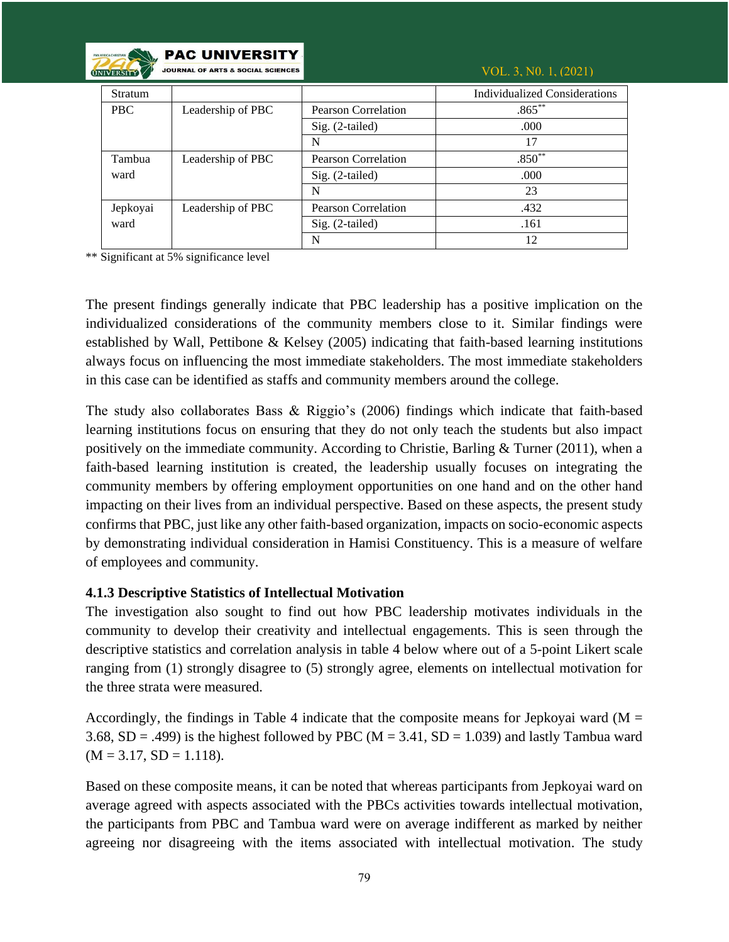**UNIVERSITY** 

**PAC UNIVERSITY** JOURNAL OF ARTS & SOCIAL SCIENCES

VOL. 3, N0. 1, (2021)

| Stratum    |                   |                            | <b>Individualized Considerations</b> |
|------------|-------------------|----------------------------|--------------------------------------|
| <b>PBC</b> | Leadership of PBC | <b>Pearson Correlation</b> | $.865***$                            |
|            |                   | $Sig. (2-tailed)$          | .000                                 |
|            |                   | N                          | 17                                   |
| Tambua     | Leadership of PBC | <b>Pearson Correlation</b> | $.850**$                             |
| ward       |                   | $Sig. (2-tailed)$          | .000                                 |
|            |                   | N                          | 23                                   |
| Jepkoyai   | Leadership of PBC | <b>Pearson Correlation</b> | .432                                 |
| ward       |                   | $Sig. (2-tailed)$          | .161                                 |
|            |                   | N                          | 12                                   |

\*\* Significant at 5% significance level

The present findings generally indicate that PBC leadership has a positive implication on the individualized considerations of the community members close to it. Similar findings were established by Wall, Pettibone & Kelsey (2005) indicating that faith-based learning institutions always focus on influencing the most immediate stakeholders. The most immediate stakeholders in this case can be identified as staffs and community members around the college.

The study also collaborates Bass & Riggio's (2006) findings which indicate that faith-based learning institutions focus on ensuring that they do not only teach the students but also impact positively on the immediate community. According to Christie, Barling & Turner (2011), when a faith-based learning institution is created, the leadership usually focuses on integrating the community members by offering employment opportunities on one hand and on the other hand impacting on their lives from an individual perspective. Based on these aspects, the present study confirms that PBC, just like any other faith-based organization, impacts on socio-economic aspects by demonstrating individual consideration in Hamisi Constituency. This is a measure of welfare of employees and community.

### **4.1.3 Descriptive Statistics of Intellectual Motivation**

The investigation also sought to find out how PBC leadership motivates individuals in the community to develop their creativity and intellectual engagements. This is seen through the descriptive statistics and correlation analysis in table 4 below where out of a 5-point Likert scale ranging from (1) strongly disagree to (5) strongly agree, elements on intellectual motivation for the three strata were measured.

Accordingly, the findings in Table 4 indicate that the composite means for Jepkoyai ward ( $M =$ 3.68, SD = .499) is the highest followed by PBC ( $M = 3.41$ , SD = 1.039) and lastly Tambua ward  $(M = 3.17, SD = 1.118).$ 

Based on these composite means, it can be noted that whereas participants from Jepkoyai ward on average agreed with aspects associated with the PBCs activities towards intellectual motivation, the participants from PBC and Tambua ward were on average indifferent as marked by neither agreeing nor disagreeing with the items associated with intellectual motivation. The study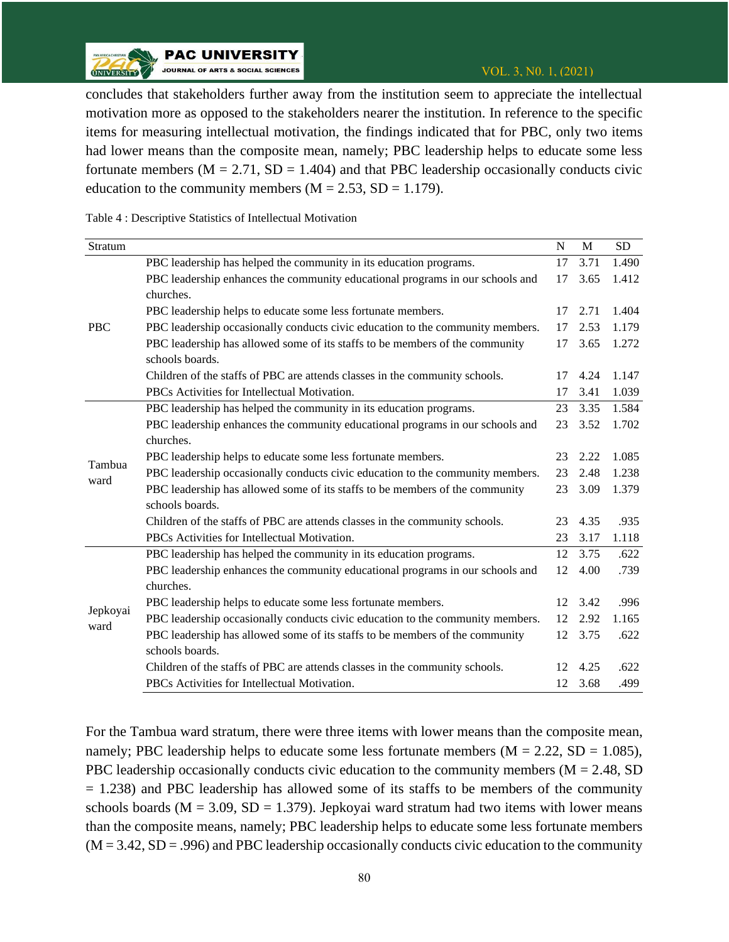concludes that stakeholders further away from the institution seem to appreciate the intellectual motivation more as opposed to the stakeholders nearer the institution. In reference to the specific items for measuring intellectual motivation, the findings indicated that for PBC, only two items had lower means than the composite mean, namely; PBC leadership helps to educate some less fortunate members ( $M = 2.71$ ,  $SD = 1.404$ ) and that PBC leadership occasionally conducts civic education to the community members ( $M = 2.53$ ,  $SD = 1.179$ ).

Table 4 : Descriptive Statistics of Intellectual Motivation

| Stratum    |                                                                                | N  | M    | <b>SD</b> |
|------------|--------------------------------------------------------------------------------|----|------|-----------|
| <b>PBC</b> | PBC leadership has helped the community in its education programs.             | 17 | 3.71 | 1.490     |
|            | PBC leadership enhances the community educational programs in our schools and  | 17 | 3.65 | 1.412     |
|            | churches.                                                                      |    |      |           |
|            | PBC leadership helps to educate some less fortunate members.                   | 17 | 2.71 | 1.404     |
|            | PBC leadership occasionally conducts civic education to the community members. | 17 | 2.53 | 1.179     |
|            | PBC leadership has allowed some of its staffs to be members of the community   | 17 | 3.65 | 1.272     |
|            | schools boards.                                                                |    |      |           |
|            | Children of the staffs of PBC are attends classes in the community schools.    | 17 | 4.24 | 1.147     |
|            | PBCs Activities for Intellectual Motivation.                                   | 17 | 3.41 | 1.039     |
|            | PBC leadership has helped the community in its education programs.             | 23 | 3.35 | 1.584     |
|            | PBC leadership enhances the community educational programs in our schools and  | 23 | 3.52 | 1.702     |
|            | churches.                                                                      |    |      |           |
| Tambua     | PBC leadership helps to educate some less fortunate members.                   | 23 | 2.22 | 1.085     |
| ward       | PBC leadership occasionally conducts civic education to the community members. | 23 | 2.48 | 1.238     |
|            | PBC leadership has allowed some of its staffs to be members of the community   | 23 | 3.09 | 1.379     |
|            | schools boards.                                                                |    |      |           |
|            | Children of the staffs of PBC are attends classes in the community schools.    | 23 | 4.35 | .935      |
|            | PBCs Activities for Intellectual Motivation.                                   | 23 | 3.17 | 1.118     |
|            | PBC leadership has helped the community in its education programs.             | 12 | 3.75 | .622      |
|            | PBC leadership enhances the community educational programs in our schools and  | 12 | 4.00 | .739      |
|            | churches.                                                                      |    |      |           |
| Jepkoyai   | PBC leadership helps to educate some less fortunate members.                   | 12 | 3.42 | .996      |
| ward       | PBC leadership occasionally conducts civic education to the community members. | 12 | 2.92 | 1.165     |
|            | PBC leadership has allowed some of its staffs to be members of the community   | 12 | 3.75 | .622      |
|            | schools boards.                                                                |    |      |           |
|            | Children of the staffs of PBC are attends classes in the community schools.    | 12 | 4.25 | .622      |
|            | PBCs Activities for Intellectual Motivation.                                   | 12 | 3.68 | .499      |

For the Tambua ward stratum, there were three items with lower means than the composite mean, namely; PBC leadership helps to educate some less fortunate members  $(M = 2.22, SD = 1.085)$ , PBC leadership occasionally conducts civic education to the community members ( $M = 2.48$ , SD = 1.238) and PBC leadership has allowed some of its staffs to be members of the community schools boards ( $M = 3.09$ ,  $SD = 1.379$ ). Jepkoyai ward stratum had two items with lower means than the composite means, namely; PBC leadership helps to educate some less fortunate members  $(M = 3.42, SD = .996)$  and PBC leadership occasionally conducts civic education to the community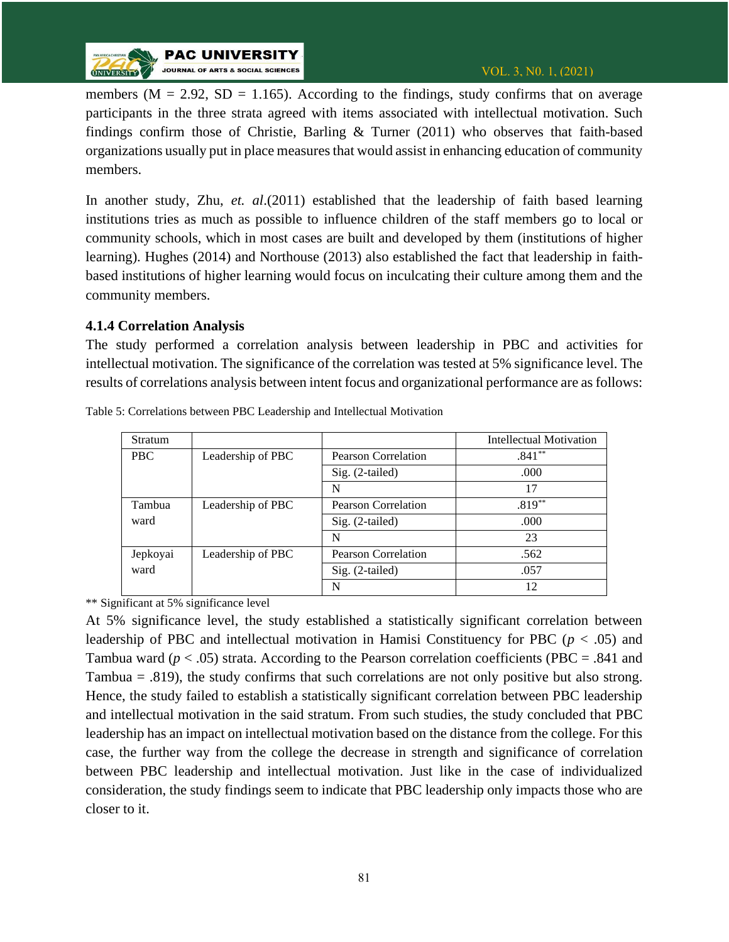

members ( $M = 2.92$ ,  $SD = 1.165$ ). According to the findings, study confirms that on average participants in the three strata agreed with items associated with intellectual motivation. Such findings confirm those of Christie, Barling & Turner (2011) who observes that faith-based organizations usually put in place measures that would assist in enhancing education of community members.

In another study, Zhu, *et. al*.(2011) established that the leadership of faith based learning institutions tries as much as possible to influence children of the staff members go to local or community schools, which in most cases are built and developed by them (institutions of higher learning). Hughes (2014) and Northouse (2013) also established the fact that leadership in faithbased institutions of higher learning would focus on inculcating their culture among them and the community members.

### **4.1.4 Correlation Analysis**

The study performed a correlation analysis between leadership in PBC and activities for intellectual motivation. The significance of the correlation was tested at 5% significance level. The results of correlations analysis between intent focus and organizational performance are as follows:

| Stratum    |                   |                            | Intellectual Motivation |
|------------|-------------------|----------------------------|-------------------------|
| <b>PBC</b> | Leadership of PBC | <b>Pearson Correlation</b> | $.841**$                |
|            |                   | $Sig. (2-tailed)$          | .000                    |
|            |                   | N                          | 17                      |
| Tambua     | Leadership of PBC | <b>Pearson Correlation</b> | $.819**$                |
| ward       |                   | Sig. (2-tailed)            | .000                    |
|            |                   | N                          | 23                      |
| Jepkoyai   | Leadership of PBC | <b>Pearson Correlation</b> | .562                    |
| ward       |                   | Sig. (2-tailed)            | .057                    |
|            |                   |                            | 12                      |

Table 5: Correlations between PBC Leadership and Intellectual Motivation

\*\* Significant at 5% significance level

At 5% significance level, the study established a statistically significant correlation between leadership of PBC and intellectual motivation in Hamisi Constituency for PBC (*p* < .05) and Tambua ward ( $p < .05$ ) strata. According to the Pearson correlation coefficients (PBC = .841 and Tambua = .819), the study confirms that such correlations are not only positive but also strong. Hence, the study failed to establish a statistically significant correlation between PBC leadership and intellectual motivation in the said stratum. From such studies, the study concluded that PBC leadership has an impact on intellectual motivation based on the distance from the college. For this case, the further way from the college the decrease in strength and significance of correlation between PBC leadership and intellectual motivation. Just like in the case of individualized consideration, the study findings seem to indicate that PBC leadership only impacts those who are closer to it.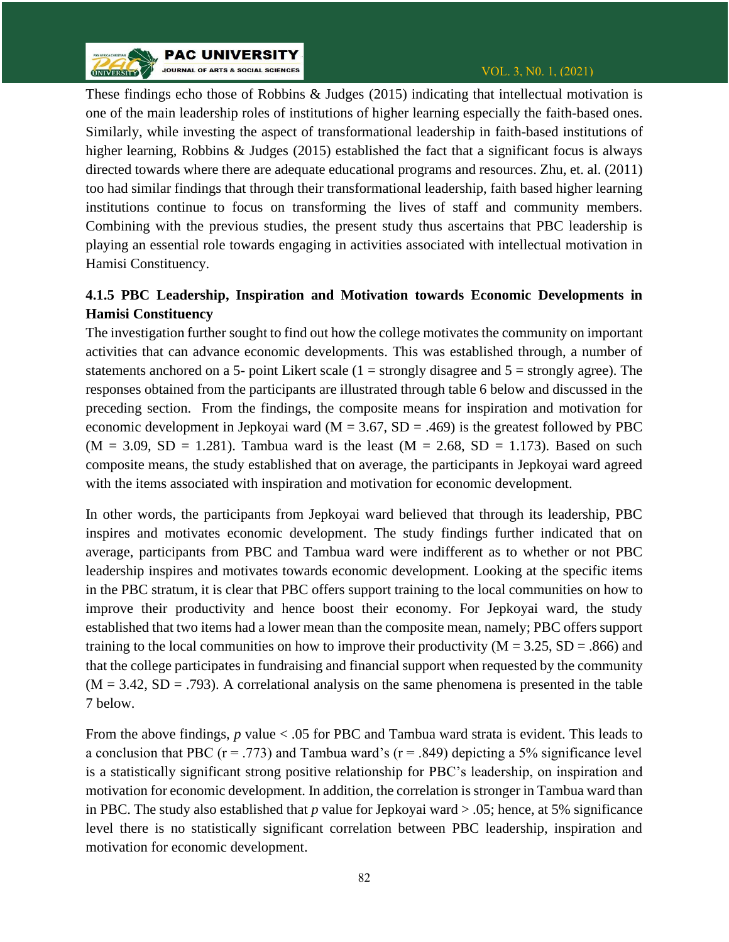



These findings echo those of Robbins & Judges (2015) indicating that intellectual motivation is one of the main leadership roles of institutions of higher learning especially the faith-based ones. Similarly, while investing the aspect of transformational leadership in faith-based institutions of higher learning, Robbins & Judges (2015) established the fact that a significant focus is always directed towards where there are adequate educational programs and resources. Zhu, et. al. (2011) too had similar findings that through their transformational leadership, faith based higher learning institutions continue to focus on transforming the lives of staff and community members. Combining with the previous studies, the present study thus ascertains that PBC leadership is playing an essential role towards engaging in activities associated with intellectual motivation in Hamisi Constituency.

# **4.1.5 PBC Leadership, Inspiration and Motivation towards Economic Developments in Hamisi Constituency**

The investigation further sought to find out how the college motivates the community on important activities that can advance economic developments. This was established through, a number of statements anchored on a 5- point Likert scale  $(1 =$  strongly disagree and  $5 =$  strongly agree). The responses obtained from the participants are illustrated through table 6 below and discussed in the preceding section. From the findings, the composite means for inspiration and motivation for economic development in Jepkoyai ward ( $M = 3.67$ ,  $SD = .469$ ) is the greatest followed by PBC  $(M = 3.09, SD = 1.281)$ . Tambua ward is the least  $(M = 2.68, SD = 1.173)$ . Based on such composite means, the study established that on average, the participants in Jepkoyai ward agreed with the items associated with inspiration and motivation for economic development.

In other words, the participants from Jepkoyai ward believed that through its leadership, PBC inspires and motivates economic development. The study findings further indicated that on average, participants from PBC and Tambua ward were indifferent as to whether or not PBC leadership inspires and motivates towards economic development. Looking at the specific items in the PBC stratum, it is clear that PBC offers support training to the local communities on how to improve their productivity and hence boost their economy. For Jepkoyai ward, the study established that two items had a lower mean than the composite mean, namely; PBC offers support training to the local communities on how to improve their productivity ( $M = 3.25$ ,  $SD = .866$ ) and that the college participates in fundraising and financial support when requested by the community  $(M = 3.42, SD = .793)$ . A correlational analysis on the same phenomena is presented in the table 7 below.

From the above findings, *p* value < .05 for PBC and Tambua ward strata is evident. This leads to a conclusion that PBC ( $r = .773$ ) and Tambua ward's ( $r = .849$ ) depicting a 5% significance level is a statistically significant strong positive relationship for PBC's leadership, on inspiration and motivation for economic development. In addition, the correlation is stronger in Tambua ward than in PBC. The study also established that *p* value for Jepkoyai ward > .05; hence, at 5% significance level there is no statistically significant correlation between PBC leadership, inspiration and motivation for economic development.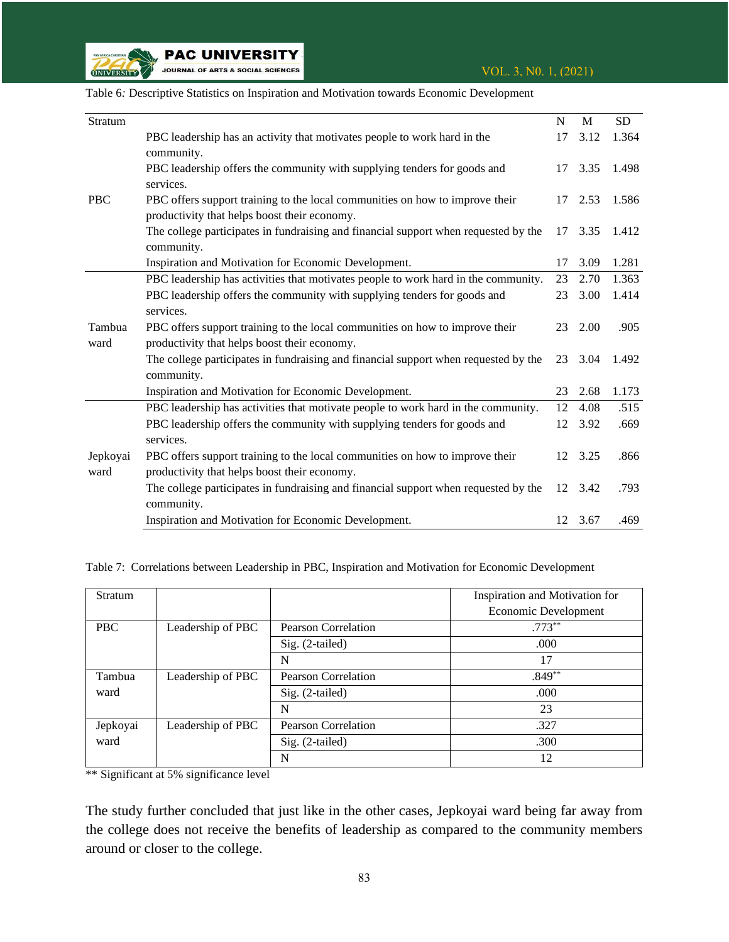

| Stratum          |                                                                                     | N  | M       | <b>SD</b> |
|------------------|-------------------------------------------------------------------------------------|----|---------|-----------|
|                  | PBC leadership has an activity that motivates people to work hard in the            | 17 | 3.12    | 1.364     |
|                  | community.                                                                          |    |         |           |
|                  | PBC leadership offers the community with supplying tenders for goods and            | 17 | 3.35    | 1.498     |
|                  | services.                                                                           |    |         |           |
| <b>PBC</b>       | PBC offers support training to the local communities on how to improve their        |    | 17 2.53 | 1.586     |
|                  | productivity that helps boost their economy.                                        |    |         |           |
|                  | The college participates in fundraising and financial support when requested by the | 17 | 3.35    | 1.412     |
|                  | community.                                                                          |    |         |           |
|                  | Inspiration and Motivation for Economic Development.                                | 17 | 3.09    | 1.281     |
|                  | PBC leadership has activities that motivates people to work hard in the community.  | 23 | 2.70    | 1.363     |
|                  | PBC leadership offers the community with supplying tenders for goods and            | 23 | 3.00    | 1.414     |
|                  | services.                                                                           |    |         |           |
| Tambua           | PBC offers support training to the local communities on how to improve their        | 23 | 2.00    | .905      |
| ward             | productivity that helps boost their economy.                                        |    |         |           |
|                  | The college participates in fundraising and financial support when requested by the | 23 | 3.04    | 1.492     |
|                  | community.                                                                          |    |         |           |
|                  | Inspiration and Motivation for Economic Development.                                | 23 | 2.68    | 1.173     |
|                  | PBC leadership has activities that motivate people to work hard in the community.   | 12 | 4.08    | .515      |
|                  | PBC leadership offers the community with supplying tenders for goods and            | 12 | 3.92    | .669      |
| Jepkoyai<br>ward | services.                                                                           |    |         |           |
|                  | PBC offers support training to the local communities on how to improve their        | 12 | 3.25    | .866      |
|                  | productivity that helps boost their economy.                                        |    |         |           |
|                  | The college participates in fundraising and financial support when requested by the | 12 | 3.42    | .793      |
|                  | community.                                                                          |    |         |           |
|                  | Inspiration and Motivation for Economic Development.                                |    | 12 3.67 | .469      |

Table 6*:* Descriptive Statistics on Inspiration and Motivation towards Economic Development

Table 7: Correlations between Leadership in PBC, Inspiration and Motivation for Economic Development

| Stratum    |                   |                            | Inspiration and Motivation for |
|------------|-------------------|----------------------------|--------------------------------|
|            |                   |                            | Economic Development           |
| <b>PBC</b> | Leadership of PBC | Pearson Correlation        | $.773**$                       |
|            |                   | $Sig. (2-tailed)$          | .000                           |
|            |                   | N                          | 17                             |
| Tambua     | Leadership of PBC | <b>Pearson Correlation</b> | $.849**$                       |
| ward       |                   | $Sig. (2-tailed)$          | .000                           |
|            |                   | N                          | 23                             |
| Jepkoyai   | Leadership of PBC | <b>Pearson Correlation</b> | .327                           |
| ward       |                   | Sig. (2-tailed)            | .300                           |
|            |                   | N                          | 12                             |

\*\* Significant at 5% significance level

The study further concluded that just like in the other cases, Jepkoyai ward being far away from the college does not receive the benefits of leadership as compared to the community members around or closer to the college.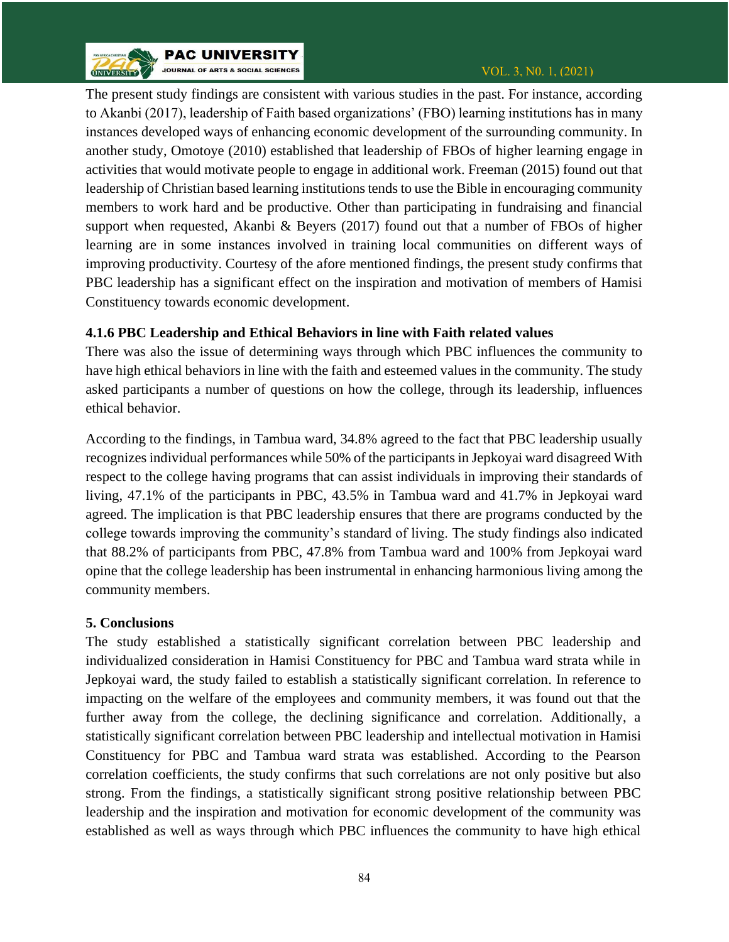

The present study findings are consistent with various studies in the past. For instance, according to Akanbi (2017), leadership of Faith based organizations' (FBO) learning institutions has in many instances developed ways of enhancing economic development of the surrounding community. In another study, Omotoye (2010) established that leadership of FBOs of higher learning engage in activities that would motivate people to engage in additional work. Freeman (2015) found out that leadership of Christian based learning institutions tends to use the Bible in encouraging community members to work hard and be productive. Other than participating in fundraising and financial support when requested, Akanbi & Beyers (2017) found out that a number of FBOs of higher learning are in some instances involved in training local communities on different ways of improving productivity. Courtesy of the afore mentioned findings, the present study confirms that PBC leadership has a significant effect on the inspiration and motivation of members of Hamisi Constituency towards economic development.

### **4.1.6 PBC Leadership and Ethical Behaviors in line with Faith related values**

There was also the issue of determining ways through which PBC influences the community to have high ethical behaviors in line with the faith and esteemed values in the community. The study asked participants a number of questions on how the college, through its leadership, influences ethical behavior.

According to the findings, in Tambua ward, 34.8% agreed to the fact that PBC leadership usually recognizes individual performances while 50% of the participants in Jepkoyai ward disagreed With respect to the college having programs that can assist individuals in improving their standards of living, 47.1% of the participants in PBC, 43.5% in Tambua ward and 41.7% in Jepkoyai ward agreed. The implication is that PBC leadership ensures that there are programs conducted by the college towards improving the community's standard of living. The study findings also indicated that 88.2% of participants from PBC, 47.8% from Tambua ward and 100% from Jepkoyai ward opine that the college leadership has been instrumental in enhancing harmonious living among the community members.

### **5. Conclusions**

The study established a statistically significant correlation between PBC leadership and individualized consideration in Hamisi Constituency for PBC and Tambua ward strata while in Jepkoyai ward, the study failed to establish a statistically significant correlation. In reference to impacting on the welfare of the employees and community members, it was found out that the further away from the college, the declining significance and correlation. Additionally, a statistically significant correlation between PBC leadership and intellectual motivation in Hamisi Constituency for PBC and Tambua ward strata was established. According to the Pearson correlation coefficients, the study confirms that such correlations are not only positive but also strong. From the findings, a statistically significant strong positive relationship between PBC leadership and the inspiration and motivation for economic development of the community was established as well as ways through which PBC influences the community to have high ethical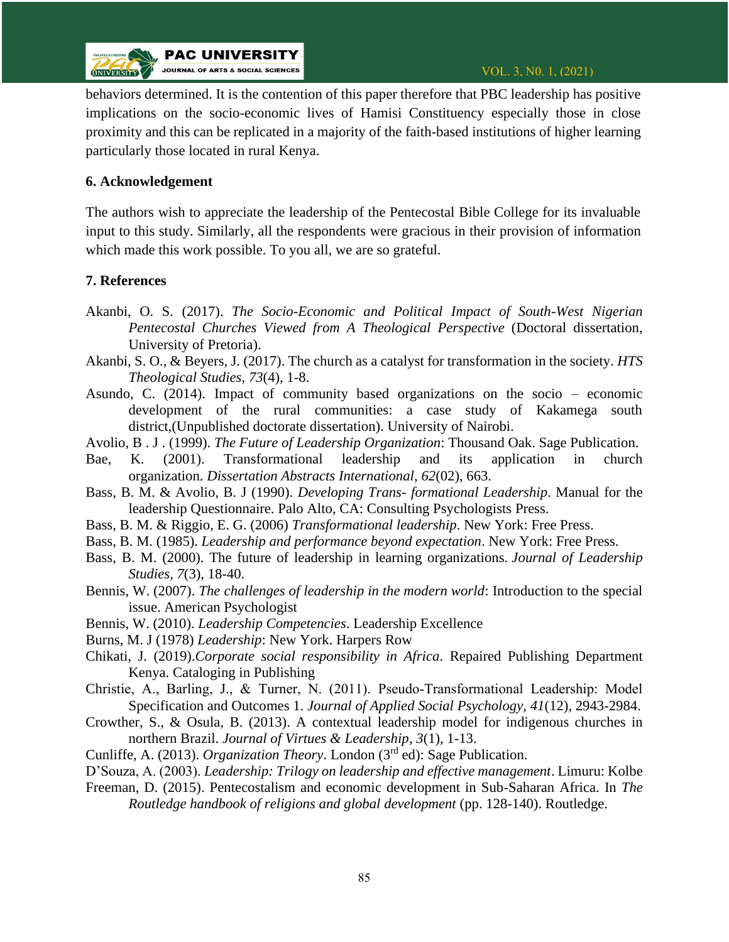

behaviors determined. It is the contention of this paper therefore that PBC leadership has positive implications on the socio-economic lives of Hamisi Constituency especially those in close proximity and this can be replicated in a majority of the faith-based institutions of higher learning particularly those located in rural Kenya.

#### **6. Acknowledgement**

The authors wish to appreciate the leadership of the Pentecostal Bible College for its invaluable input to this study. Similarly, all the respondents were gracious in their provision of information which made this work possible. To you all, we are so grateful.

#### **7. References**

- Akanbi, O. S. (2017). *The Socio-Economic and Political Impact of South-West Nigerian Pentecostal Churches Viewed from A Theological Perspective* (Doctoral dissertation, University of Pretoria).
- Akanbi, S. O., & Beyers, J. (2017). The church as a catalyst for transformation in the society. *HTS Theological Studies*, *73*(4), 1-8.
- Asundo, C. (2014). Impact of community based organizations on the socio economic development of the rural communities: a case study of Kakamega south district,(Unpublished doctorate dissertation). University of Nairobi.
- Avolio, B . J . (1999). *The Future of Leadership Organization*: Thousand Oak. Sage Publication.
- Bae, K. (2001). Transformational leadership and its application in church organization. *Dissertation Abstracts International*, *62*(02), 663.
- Bass, B. M. & Avolio, B. J (1990). *Developing Trans- formational Leadership*. Manual for the leadership Questionnaire. Palo Alto, CA: Consulting Psychologists Press.
- Bass, B. M. & Riggio, E. G. (2006) *Transformational leadership*. New York: Free Press.
- Bass, B. M. (1985). *Leadership and performance beyond expectation*. New York: Free Press.
- Bass, B. M. (2000). The future of leadership in learning organizations. *Journal of Leadership Studies*, *7*(3), 18-40.
- Bennis, W. (2007). *The challenges of leadership in the modern world*: Introduction to the special issue. American Psychologist
- Bennis, W. (2010). *Leadership Competencies*. Leadership Excellence
- Burns, M. J (1978) *Leadership*: New York. Harpers Row
- Chikati, J. (2019).*Corporate social responsibility in Africa*. Repaired Publishing Department Kenya. Cataloging in Publishing
- Christie, A., Barling, J., & Turner, N. (2011). Pseudo‐Transformational Leadership: Model Specification and Outcomes 1. *Journal of Applied Social Psychology*, *41*(12), 2943-2984.
- Crowther, S., & Osula, B. (2013). A contextual leadership model for indigenous churches in northern Brazil. *Journal of Virtues & Leadership*, *3*(1), 1-13.
- Cunliffe, A. (2013). *Organization Theory*. London (3rd ed): Sage Publication.
- D'Souza, A. (2003). *Leadership: Trilogy on leadership and effective management*. Limuru: Kolbe
- Freeman, D. (2015). Pentecostalism and economic development in Sub-Saharan Africa. In *The Routledge handbook of religions and global development* (pp. 128-140). Routledge.